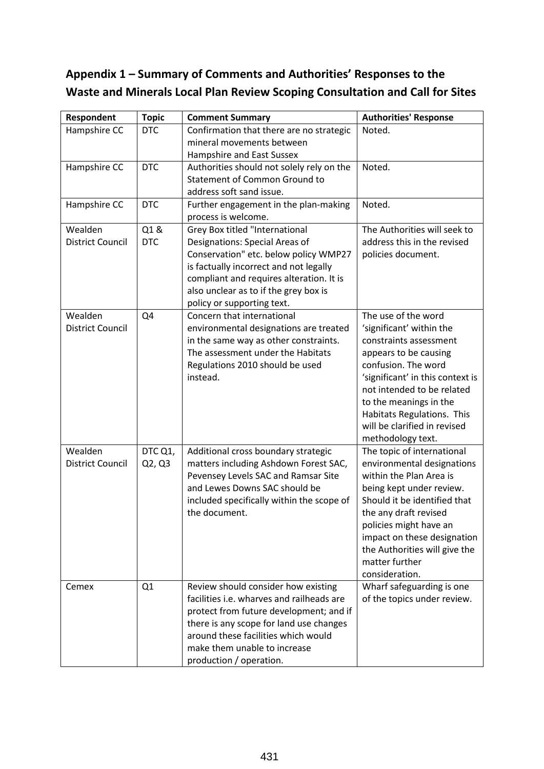## **Appendix 1 – Summary of Comments and Authorities' Responses to the Waste and Minerals Local Plan Review Scoping Consultation and Call for Sites**

| Respondent              | <b>Topic</b> | <b>Comment Summary</b>                    | <b>Authorities' Response</b>     |
|-------------------------|--------------|-------------------------------------------|----------------------------------|
| Hampshire CC            | <b>DTC</b>   | Confirmation that there are no strategic  | Noted.                           |
|                         |              | mineral movements between                 |                                  |
|                         |              | Hampshire and East Sussex                 |                                  |
| Hampshire CC            | <b>DTC</b>   | Authorities should not solely rely on the | Noted.                           |
|                         |              | <b>Statement of Common Ground to</b>      |                                  |
|                         |              | address soft sand issue.                  |                                  |
| Hampshire CC            | <b>DTC</b>   | Further engagement in the plan-making     | Noted.                           |
|                         |              | process is welcome.                       |                                  |
| Wealden                 | Q1&          | Grey Box titled "International            | The Authorities will seek to     |
| <b>District Council</b> | <b>DTC</b>   | Designations: Special Areas of            | address this in the revised      |
|                         |              | Conservation" etc. below policy WMP27     | policies document.               |
|                         |              | is factually incorrect and not legally    |                                  |
|                         |              | compliant and requires alteration. It is  |                                  |
|                         |              | also unclear as to if the grey box is     |                                  |
|                         |              | policy or supporting text.                |                                  |
| Wealden                 | Q4           | Concern that international                | The use of the word              |
| <b>District Council</b> |              | environmental designations are treated    | 'significant' within the         |
|                         |              | in the same way as other constraints.     | constraints assessment           |
|                         |              | The assessment under the Habitats         | appears to be causing            |
|                         |              | Regulations 2010 should be used           | confusion. The word              |
|                         |              | instead.                                  | 'significant' in this context is |
|                         |              |                                           | not intended to be related       |
|                         |              |                                           | to the meanings in the           |
|                         |              |                                           | Habitats Regulations. This       |
|                         |              |                                           | will be clarified in revised     |
|                         |              |                                           | methodology text.                |
| Wealden                 | DTC Q1,      | Additional cross boundary strategic       | The topic of international       |
| <b>District Council</b> | Q2, Q3       | matters including Ashdown Forest SAC,     | environmental designations       |
|                         |              | Pevensey Levels SAC and Ramsar Site       | within the Plan Area is          |
|                         |              | and Lewes Downs SAC should be             | being kept under review.         |
|                         |              | included specifically within the scope of | Should it be identified that     |
|                         |              | the document.                             | the any draft revised            |
|                         |              |                                           | policies might have an           |
|                         |              |                                           | impact on these designation      |
|                         |              |                                           | the Authorities will give the    |
|                         |              |                                           | matter further                   |
|                         |              |                                           | consideration.                   |
| Cemex                   | Q1           | Review should consider how existing       | Wharf safeguarding is one        |
|                         |              | facilities i.e. wharves and railheads are | of the topics under review.      |
|                         |              | protect from future development; and if   |                                  |
|                         |              | there is any scope for land use changes   |                                  |
|                         |              | around these facilities which would       |                                  |
|                         |              | make them unable to increase              |                                  |
|                         |              | production / operation.                   |                                  |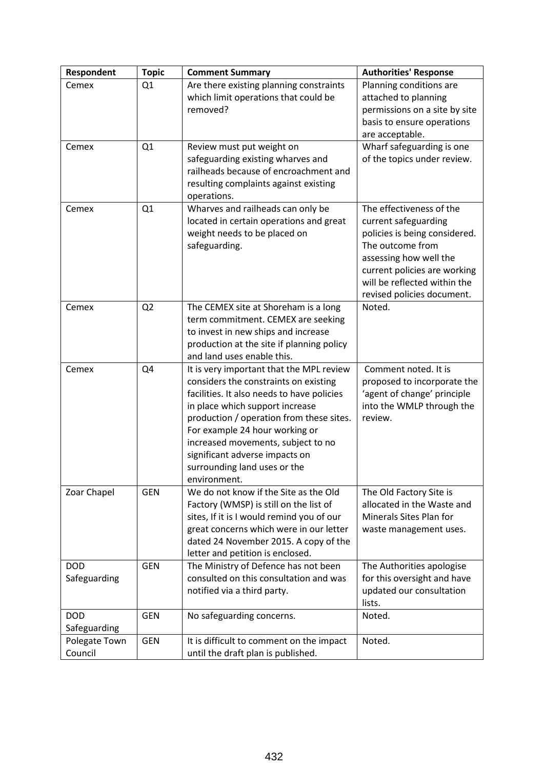| Respondent                 | <b>Topic</b>   | <b>Comment Summary</b>                                                                                                                                                                                                                                                                                                                                                   | <b>Authorities' Response</b>                                                                                                                                                                                                  |
|----------------------------|----------------|--------------------------------------------------------------------------------------------------------------------------------------------------------------------------------------------------------------------------------------------------------------------------------------------------------------------------------------------------------------------------|-------------------------------------------------------------------------------------------------------------------------------------------------------------------------------------------------------------------------------|
| Cemex                      | Q1             | Are there existing planning constraints<br>which limit operations that could be<br>removed?                                                                                                                                                                                                                                                                              | Planning conditions are<br>attached to planning<br>permissions on a site by site<br>basis to ensure operations<br>are acceptable.                                                                                             |
| Cemex                      | Q1             | Review must put weight on<br>safeguarding existing wharves and<br>railheads because of encroachment and<br>resulting complaints against existing<br>operations.                                                                                                                                                                                                          | Wharf safeguarding is one<br>of the topics under review.                                                                                                                                                                      |
| Cemex                      | Q1             | Wharves and railheads can only be<br>located in certain operations and great<br>weight needs to be placed on<br>safeguarding.                                                                                                                                                                                                                                            | The effectiveness of the<br>current safeguarding<br>policies is being considered.<br>The outcome from<br>assessing how well the<br>current policies are working<br>will be reflected within the<br>revised policies document. |
| Cemex                      | Q <sub>2</sub> | The CEMEX site at Shoreham is a long<br>term commitment. CEMEX are seeking<br>to invest in new ships and increase<br>production at the site if planning policy<br>and land uses enable this.                                                                                                                                                                             | Noted.                                                                                                                                                                                                                        |
| Cemex                      | Q4             | It is very important that the MPL review<br>considers the constraints on existing<br>facilities. It also needs to have policies<br>in place which support increase<br>production / operation from these sites.<br>For example 24 hour working or<br>increased movements, subject to no<br>significant adverse impacts on<br>surrounding land uses or the<br>environment. | Comment noted. It is<br>proposed to incorporate the<br>'agent of change' principle<br>into the WMLP through the<br>review.                                                                                                    |
| Zoar Chapel                | <b>GEN</b>     | We do not know if the Site as the Old<br>Factory (WMSP) is still on the list of<br>sites, If it is I would remind you of our<br>great concerns which were in our letter<br>dated 24 November 2015. A copy of the<br>letter and petition is enclosed.                                                                                                                     | The Old Factory Site is<br>allocated in the Waste and<br>Minerals Sites Plan for<br>waste management uses.                                                                                                                    |
| <b>DOD</b><br>Safeguarding | <b>GEN</b>     | The Ministry of Defence has not been<br>consulted on this consultation and was<br>notified via a third party.                                                                                                                                                                                                                                                            | The Authorities apologise<br>for this oversight and have<br>updated our consultation<br>lists.                                                                                                                                |
| <b>DOD</b><br>Safeguarding | <b>GEN</b>     | No safeguarding concerns.                                                                                                                                                                                                                                                                                                                                                | Noted.                                                                                                                                                                                                                        |
| Polegate Town<br>Council   | <b>GEN</b>     | It is difficult to comment on the impact<br>until the draft plan is published.                                                                                                                                                                                                                                                                                           | Noted.                                                                                                                                                                                                                        |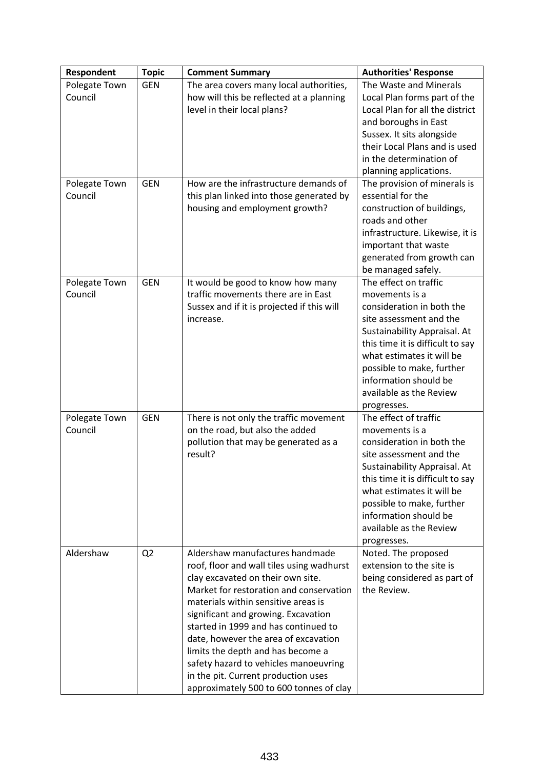| Respondent    | <b>Topic</b>   | <b>Comment Summary</b>                     | <b>Authorities' Response</b>     |
|---------------|----------------|--------------------------------------------|----------------------------------|
| Polegate Town | <b>GEN</b>     | The area covers many local authorities,    | The Waste and Minerals           |
| Council       |                | how will this be reflected at a planning   | Local Plan forms part of the     |
|               |                | level in their local plans?                | Local Plan for all the district  |
|               |                |                                            | and boroughs in East             |
|               |                |                                            | Sussex. It sits alongside        |
|               |                |                                            | their Local Plans and is used    |
|               |                |                                            | in the determination of          |
|               |                |                                            | planning applications.           |
| Polegate Town | <b>GEN</b>     | How are the infrastructure demands of      | The provision of minerals is     |
| Council       |                | this plan linked into those generated by   | essential for the                |
|               |                | housing and employment growth?             | construction of buildings,       |
|               |                |                                            | roads and other                  |
|               |                |                                            | infrastructure. Likewise, it is  |
|               |                |                                            | important that waste             |
|               |                |                                            | generated from growth can        |
|               |                |                                            | be managed safely.               |
| Polegate Town | <b>GEN</b>     | It would be good to know how many          | The effect on traffic            |
| Council       |                | traffic movements there are in East        | movements is a                   |
|               |                | Sussex and if it is projected if this will | consideration in both the        |
|               |                | increase.                                  | site assessment and the          |
|               |                |                                            | Sustainability Appraisal. At     |
|               |                |                                            | this time it is difficult to say |
|               |                |                                            | what estimates it will be        |
|               |                |                                            | possible to make, further        |
|               |                |                                            | information should be            |
|               |                |                                            | available as the Review          |
|               |                |                                            | progresses.                      |
| Polegate Town | <b>GEN</b>     | There is not only the traffic movement     | The effect of traffic            |
| Council       |                | on the road, but also the added            | movements is a                   |
|               |                | pollution that may be generated as a       | consideration in both the        |
|               |                | result?                                    | site assessment and the          |
|               |                |                                            | Sustainability Appraisal. At     |
|               |                |                                            | this time it is difficult to say |
|               |                |                                            | what estimates it will be        |
|               |                |                                            | possible to make, further        |
|               |                |                                            | information should be            |
|               |                |                                            | available as the Review          |
|               |                |                                            | progresses.                      |
| Aldershaw     | Q <sub>2</sub> | Aldershaw manufactures handmade            | Noted. The proposed              |
|               |                | roof, floor and wall tiles using wadhurst  | extension to the site is         |
|               |                | clay excavated on their own site.          | being considered as part of      |
|               |                | Market for restoration and conservation    | the Review.                      |
|               |                | materials within sensitive areas is        |                                  |
|               |                | significant and growing. Excavation        |                                  |
|               |                | started in 1999 and has continued to       |                                  |
|               |                | date, however the area of excavation       |                                  |
|               |                | limits the depth and has become a          |                                  |
|               |                | safety hazard to vehicles manoeuvring      |                                  |
|               |                | in the pit. Current production uses        |                                  |
|               |                | approximately 500 to 600 tonnes of clay    |                                  |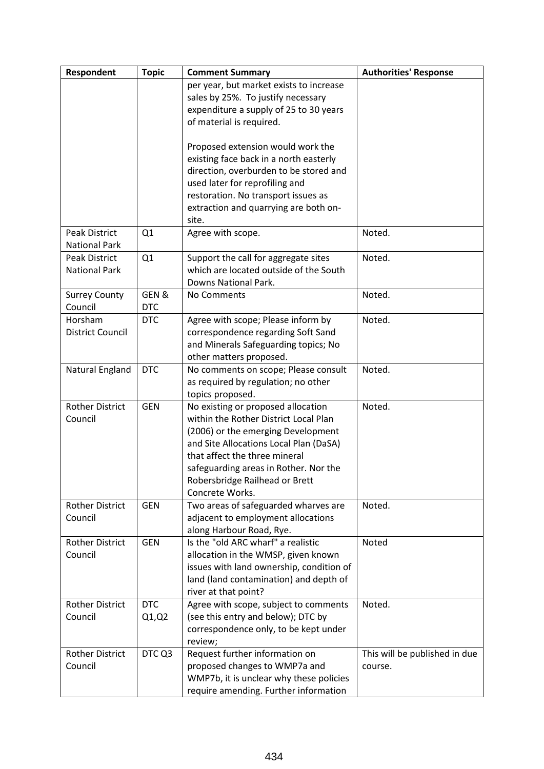| Respondent              | <b>Topic</b> | <b>Comment Summary</b>                                         | <b>Authorities' Response</b>  |
|-------------------------|--------------|----------------------------------------------------------------|-------------------------------|
|                         |              | per year, but market exists to increase                        |                               |
|                         |              | sales by 25%. To justify necessary                             |                               |
|                         |              | expenditure a supply of 25 to 30 years                         |                               |
|                         |              | of material is required.                                       |                               |
|                         |              |                                                                |                               |
|                         |              | Proposed extension would work the                              |                               |
|                         |              | existing face back in a north easterly                         |                               |
|                         |              | direction, overburden to be stored and                         |                               |
|                         |              | used later for reprofiling and                                 |                               |
|                         |              | restoration. No transport issues as                            |                               |
|                         |              | extraction and quarrying are both on-                          |                               |
|                         |              | site.                                                          |                               |
| <b>Peak District</b>    | Q1           | Agree with scope.                                              | Noted.                        |
| <b>National Park</b>    |              |                                                                |                               |
| Peak District           | Q1           | Support the call for aggregate sites                           | Noted.                        |
| <b>National Park</b>    |              | which are located outside of the South                         |                               |
|                         |              | Downs National Park.                                           |                               |
| <b>Surrey County</b>    | GEN&         | No Comments                                                    | Noted.                        |
| Council                 | <b>DTC</b>   |                                                                |                               |
| Horsham                 | <b>DTC</b>   | Agree with scope; Please inform by                             | Noted.                        |
| <b>District Council</b> |              | correspondence regarding Soft Sand                             |                               |
|                         |              | and Minerals Safeguarding topics; No                           |                               |
|                         |              | other matters proposed.                                        |                               |
| Natural England         | <b>DTC</b>   | No comments on scope; Please consult                           | Noted.                        |
|                         |              | as required by regulation; no other                            |                               |
|                         |              | topics proposed.                                               |                               |
| <b>Rother District</b>  | <b>GEN</b>   | No existing or proposed allocation                             | Noted.                        |
| Council                 |              | within the Rother District Local Plan                          |                               |
|                         |              | (2006) or the emerging Development                             |                               |
|                         |              | and Site Allocations Local Plan (DaSA)                         |                               |
|                         |              | that affect the three mineral                                  |                               |
|                         |              | safeguarding areas in Rother. Nor the                          |                               |
|                         |              | Robersbridge Railhead or Brett<br>Concrete Works.              |                               |
| <b>Rother District</b>  |              |                                                                |                               |
| Council                 | <b>GEN</b>   | Two areas of safeguarded wharves are                           | Noted.                        |
|                         |              | adjacent to employment allocations<br>along Harbour Road, Rye. |                               |
| <b>Rother District</b>  | <b>GEN</b>   | Is the "old ARC wharf" a realistic                             | Noted                         |
| Council                 |              | allocation in the WMSP, given known                            |                               |
|                         |              | issues with land ownership, condition of                       |                               |
|                         |              | land (land contamination) and depth of                         |                               |
|                         |              | river at that point?                                           |                               |
| <b>Rother District</b>  | <b>DTC</b>   | Agree with scope, subject to comments                          | Noted.                        |
| Council                 | Q1,Q2        | (see this entry and below); DTC by                             |                               |
|                         |              | correspondence only, to be kept under                          |                               |
|                         |              | review;                                                        |                               |
| <b>Rother District</b>  | DTC Q3       | Request further information on                                 | This will be published in due |
| Council                 |              | proposed changes to WMP7a and                                  | course.                       |
|                         |              | WMP7b, it is unclear why these policies                        |                               |
|                         |              | require amending. Further information                          |                               |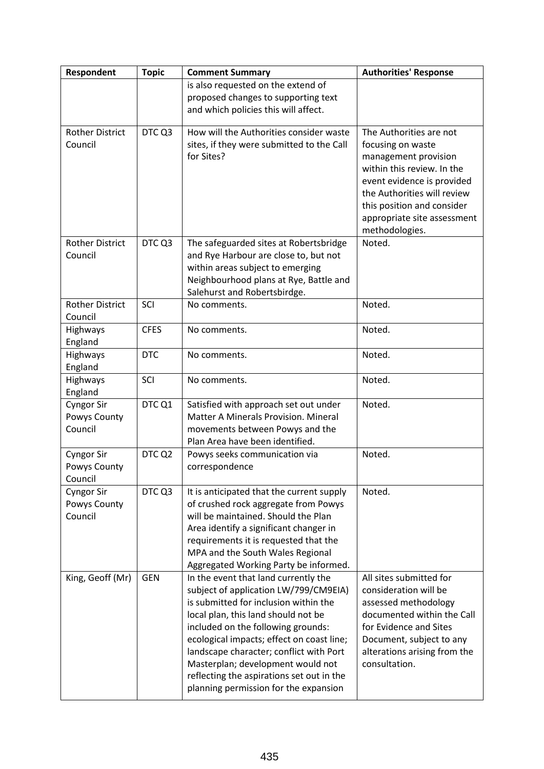| Respondent             | <b>Topic</b> | <b>Comment Summary</b>                    | <b>Authorities' Response</b> |
|------------------------|--------------|-------------------------------------------|------------------------------|
|                        |              | is also requested on the extend of        |                              |
|                        |              | proposed changes to supporting text       |                              |
|                        |              | and which policies this will affect.      |                              |
| <b>Rother District</b> | DTC Q3       | How will the Authorities consider waste   | The Authorities are not      |
| Council                |              | sites, if they were submitted to the Call | focusing on waste            |
|                        |              | for Sites?                                | management provision         |
|                        |              |                                           | within this review. In the   |
|                        |              |                                           | event evidence is provided   |
|                        |              |                                           | the Authorities will review  |
|                        |              |                                           | this position and consider   |
|                        |              |                                           | appropriate site assessment  |
|                        |              |                                           | methodologies.               |
| <b>Rother District</b> | DTC Q3       | The safeguarded sites at Robertsbridge    | Noted.                       |
| Council                |              | and Rye Harbour are close to, but not     |                              |
|                        |              | within areas subject to emerging          |                              |
|                        |              | Neighbourhood plans at Rye, Battle and    |                              |
|                        |              | Salehurst and Robertsbirdge.              |                              |
| <b>Rother District</b> | SCI          | No comments.                              | Noted.                       |
| Council                |              |                                           |                              |
| Highways               | <b>CFES</b>  | No comments.                              | Noted.                       |
| England                | <b>DTC</b>   |                                           |                              |
| Highways<br>England    |              | No comments.                              | Noted.                       |
| Highways               | SCI          | No comments.                              | Noted.                       |
| England                |              |                                           |                              |
| <b>Cyngor Sir</b>      | DTC Q1       | Satisfied with approach set out under     | Noted.                       |
| Powys County           |              | Matter A Minerals Provision. Mineral      |                              |
| Council                |              | movements between Powys and the           |                              |
|                        |              | Plan Area have been identified.           |                              |
| <b>Cyngor Sir</b>      | DTC Q2       | Powys seeks communication via             | Noted.                       |
| Powys County           |              | correspondence                            |                              |
| Council                |              |                                           |                              |
| <b>Cyngor Sir</b>      | DTC Q3       | It is anticipated that the current supply | Noted.                       |
| Powys County           |              | of crushed rock aggregate from Powys      |                              |
| Council                |              | will be maintained. Should the Plan       |                              |
|                        |              | Area identify a significant changer in    |                              |
|                        |              | requirements it is requested that the     |                              |
|                        |              | MPA and the South Wales Regional          |                              |
|                        |              | Aggregated Working Party be informed.     |                              |
| King, Geoff (Mr)       | <b>GEN</b>   | In the event that land currently the      | All sites submitted for      |
|                        |              | subject of application LW/799/CM9EIA)     | consideration will be        |
|                        |              | is submitted for inclusion within the     | assessed methodology         |
|                        |              | local plan, this land should not be       | documented within the Call   |
|                        |              | included on the following grounds:        | for Evidence and Sites       |
|                        |              | ecological impacts; effect on coast line; | Document, subject to any     |
|                        |              | landscape character; conflict with Port   | alterations arising from the |
|                        |              | Masterplan; development would not         | consultation.                |
|                        |              | reflecting the aspirations set out in the |                              |
|                        |              | planning permission for the expansion     |                              |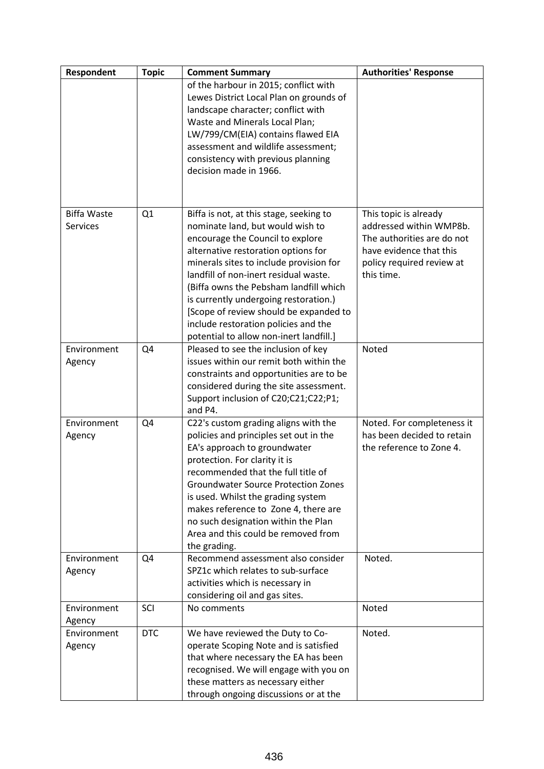| Respondent         | <b>Topic</b> | <b>Comment Summary</b>                     | <b>Authorities' Response</b> |
|--------------------|--------------|--------------------------------------------|------------------------------|
|                    |              | of the harbour in 2015; conflict with      |                              |
|                    |              | Lewes District Local Plan on grounds of    |                              |
|                    |              | landscape character; conflict with         |                              |
|                    |              | Waste and Minerals Local Plan;             |                              |
|                    |              | LW/799/CM(EIA) contains flawed EIA         |                              |
|                    |              | assessment and wildlife assessment;        |                              |
|                    |              | consistency with previous planning         |                              |
|                    |              | decision made in 1966.                     |                              |
|                    |              |                                            |                              |
|                    |              |                                            |                              |
| <b>Biffa Waste</b> | Q1           | Biffa is not, at this stage, seeking to    | This topic is already        |
| <b>Services</b>    |              | nominate land, but would wish to           | addressed within WMP8b.      |
|                    |              | encourage the Council to explore           | The authorities are do not   |
|                    |              | alternative restoration options for        | have evidence that this      |
|                    |              | minerals sites to include provision for    | policy required review at    |
|                    |              | landfill of non-inert residual waste.      | this time.                   |
|                    |              | (Biffa owns the Pebsham landfill which     |                              |
|                    |              | is currently undergoing restoration.)      |                              |
|                    |              | [Scope of review should be expanded to     |                              |
|                    |              | include restoration policies and the       |                              |
|                    |              | potential to allow non-inert landfill.]    |                              |
| Environment        | Q4           | Pleased to see the inclusion of key        | Noted                        |
| Agency             |              | issues within our remit both within the    |                              |
|                    |              | constraints and opportunities are to be    |                              |
|                    |              | considered during the site assessment.     |                              |
|                    |              | Support inclusion of C20;C21;C22;P1;       |                              |
|                    |              | and P4.                                    |                              |
| Environment        | Q4           | C22's custom grading aligns with the       | Noted. For completeness it   |
| Agency             |              | policies and principles set out in the     | has been decided to retain   |
|                    |              | EA's approach to groundwater               | the reference to Zone 4.     |
|                    |              | protection. For clarity it is              |                              |
|                    |              | recommended that the full title of         |                              |
|                    |              | <b>Groundwater Source Protection Zones</b> |                              |
|                    |              | is used. Whilst the grading system         |                              |
|                    |              | makes reference to Zone 4, there are       |                              |
|                    |              | no such designation within the Plan        |                              |
|                    |              | Area and this could be removed from        |                              |
|                    |              | the grading.                               |                              |
| Environment        | Q4           | Recommend assessment also consider         | Noted.                       |
| Agency             |              | SPZ1c which relates to sub-surface         |                              |
|                    |              | activities which is necessary in           |                              |
|                    |              | considering oil and gas sites.             |                              |
| Environment        | SCI          | No comments                                | Noted                        |
| Agency             |              |                                            |                              |
| Environment        | <b>DTC</b>   | We have reviewed the Duty to Co-           | Noted.                       |
| Agency             |              | operate Scoping Note and is satisfied      |                              |
|                    |              | that where necessary the EA has been       |                              |
|                    |              | recognised. We will engage with you on     |                              |
|                    |              | these matters as necessary either          |                              |
|                    |              | through ongoing discussions or at the      |                              |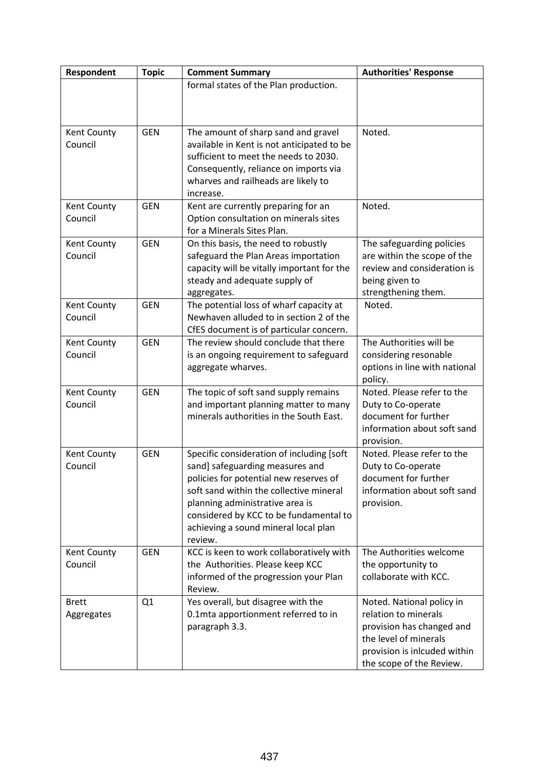| Respondent                 | <b>Topic</b>   | <b>Comment Summary</b>                                                                                                                                                                                                                                                                            | <b>Authorities' Response</b>                                                                                                                                        |
|----------------------------|----------------|---------------------------------------------------------------------------------------------------------------------------------------------------------------------------------------------------------------------------------------------------------------------------------------------------|---------------------------------------------------------------------------------------------------------------------------------------------------------------------|
|                            |                | formal states of the Plan production.                                                                                                                                                                                                                                                             |                                                                                                                                                                     |
| Kent County<br>Council     | <b>GEN</b>     | The amount of sharp sand and gravel<br>available in Kent is not anticipated to be<br>sufficient to meet the needs to 2030.<br>Consequently, reliance on imports via<br>wharves and railheads are likely to<br>increase.                                                                           | Noted.                                                                                                                                                              |
| Kent County<br>Council     | <b>GEN</b>     | Kent are currently preparing for an<br>Option consultation on minerals sites<br>for a Minerals Sites Plan.                                                                                                                                                                                        | Noted.                                                                                                                                                              |
| Kent County<br>Council     | <b>GEN</b>     | On this basis, the need to robustly<br>safeguard the Plan Areas importation<br>capacity will be vitally important for the<br>steady and adequate supply of<br>aggregates.                                                                                                                         | The safeguarding policies<br>are within the scope of the<br>review and consideration is<br>being given to<br>strengthening them.                                    |
| Kent County<br>Council     | <b>GEN</b>     | The potential loss of wharf capacity at<br>Newhaven alluded to in section 2 of the<br>CfES document is of particular concern.                                                                                                                                                                     | Noted.                                                                                                                                                              |
| Kent County<br>Council     | <b>GEN</b>     | The review should conclude that there<br>is an ongoing requirement to safeguard<br>aggregate wharves.                                                                                                                                                                                             | The Authorities will be<br>considering resonable<br>options in line with national<br>policy.                                                                        |
| Kent County<br>Council     | <b>GEN</b>     | The topic of soft sand supply remains<br>and important planning matter to many<br>minerals authorities in the South East.                                                                                                                                                                         | Noted. Please refer to the<br>Duty to Co-operate<br>document for further<br>information about soft sand<br>provision.                                               |
| Kent County<br>Council     | <b>GEN</b>     | Specific consideration of including [soft<br>sand] safeguarding measures and<br>policies for potential new reserves of<br>soft sand within the collective mineral<br>planning administrative area is<br>considered by KCC to be fundamental to<br>achieving a sound mineral local plan<br>review. | Noted. Please refer to the<br>Duty to Co-operate<br>document for further<br>information about soft sand<br>provision.                                               |
| Kent County<br>Council     | <b>GEN</b>     | KCC is keen to work collaboratively with<br>the Authorities. Please keep KCC<br>informed of the progression your Plan<br>Review.                                                                                                                                                                  | The Authorities welcome<br>the opportunity to<br>collaborate with KCC.                                                                                              |
| <b>Brett</b><br>Aggregates | Q <sub>1</sub> | Yes overall, but disagree with the<br>0.1mta apportionment referred to in<br>paragraph 3.3.                                                                                                                                                                                                       | Noted. National policy in<br>relation to minerals<br>provision has changed and<br>the level of minerals<br>provision is inlcuded within<br>the scope of the Review. |